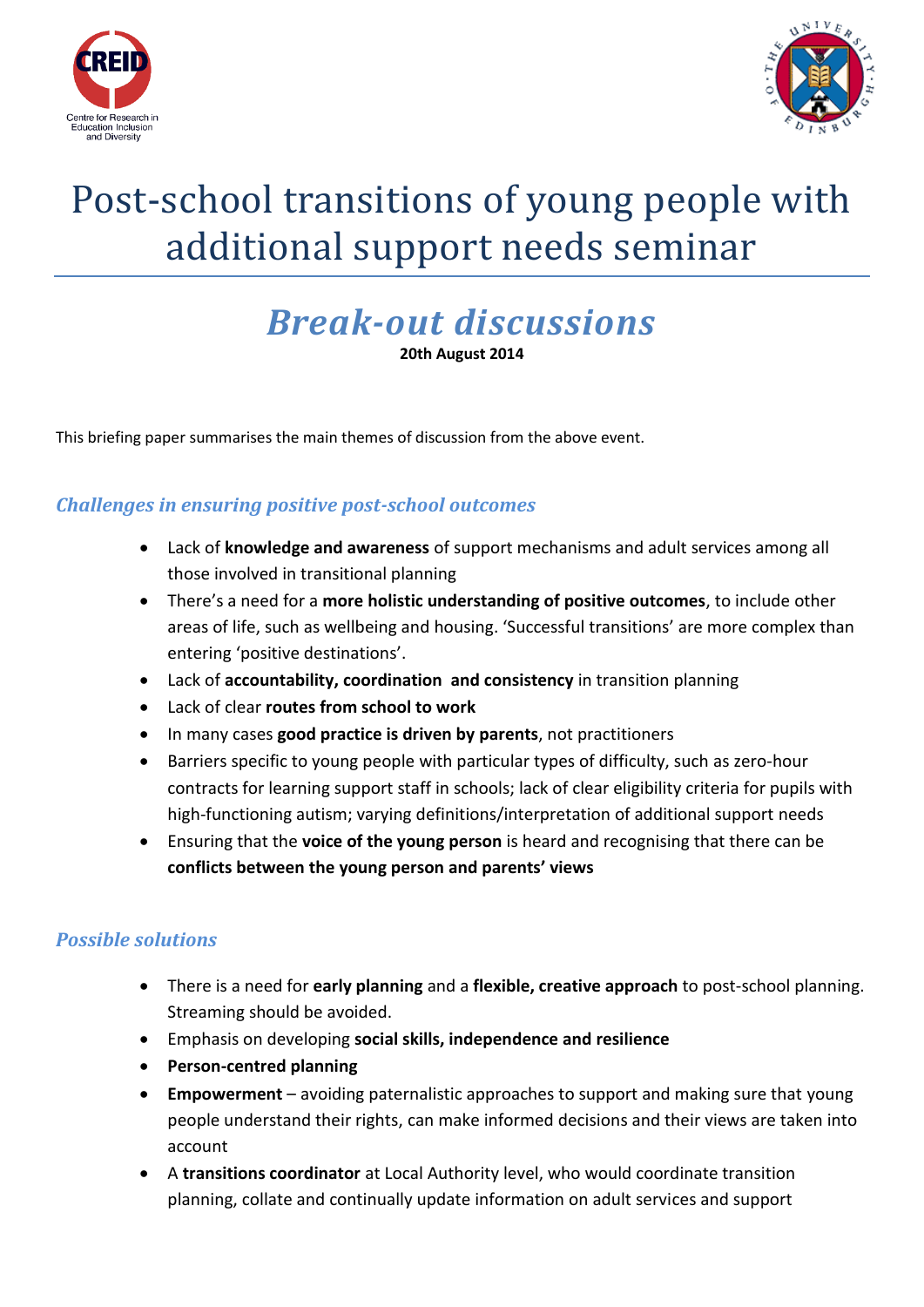



# Post-school transitions of young people with additional support needs seminar

## *Break-out discussions*

**20th August 2014**

This briefing paper summarises the main themes of discussion from the above event.

### *Challenges in ensuring positive post-school outcomes*

- Lack of **knowledge and awareness** of support mechanisms and adult services among all those involved in transitional planning
- There's a need for a **more holistic understanding of positive outcomes**, to include other areas of life, such as wellbeing and housing. 'Successful transitions' are more complex than entering 'positive destinations'.
- Lack of **accountability, coordination and consistency** in transition planning
- Lack of clear **routes from school to work**
- In many cases **good practice is driven by parents**, not practitioners
- Barriers specific to young people with particular types of difficulty, such as zero-hour contracts for learning support staff in schools; lack of clear eligibility criteria for pupils with high-functioning autism; varying definitions/interpretation of additional support needs
- Ensuring that the **voice of the young person** is heard and recognising that there can be **conflicts between the young person and parents' views**

#### *Possible solutions*

- There is a need for **early planning** and a **flexible, creative approach** to post-school planning. Streaming should be avoided.
- Emphasis on developing **social skills, independence and resilience**
- **Person-centred planning**
- **Empowerment** avoiding paternalistic approaches to support and making sure that young people understand their rights, can make informed decisions and their views are taken into account
- A **transitions coordinator** at Local Authority level, who would coordinate transition planning, collate and continually update information on adult services and support